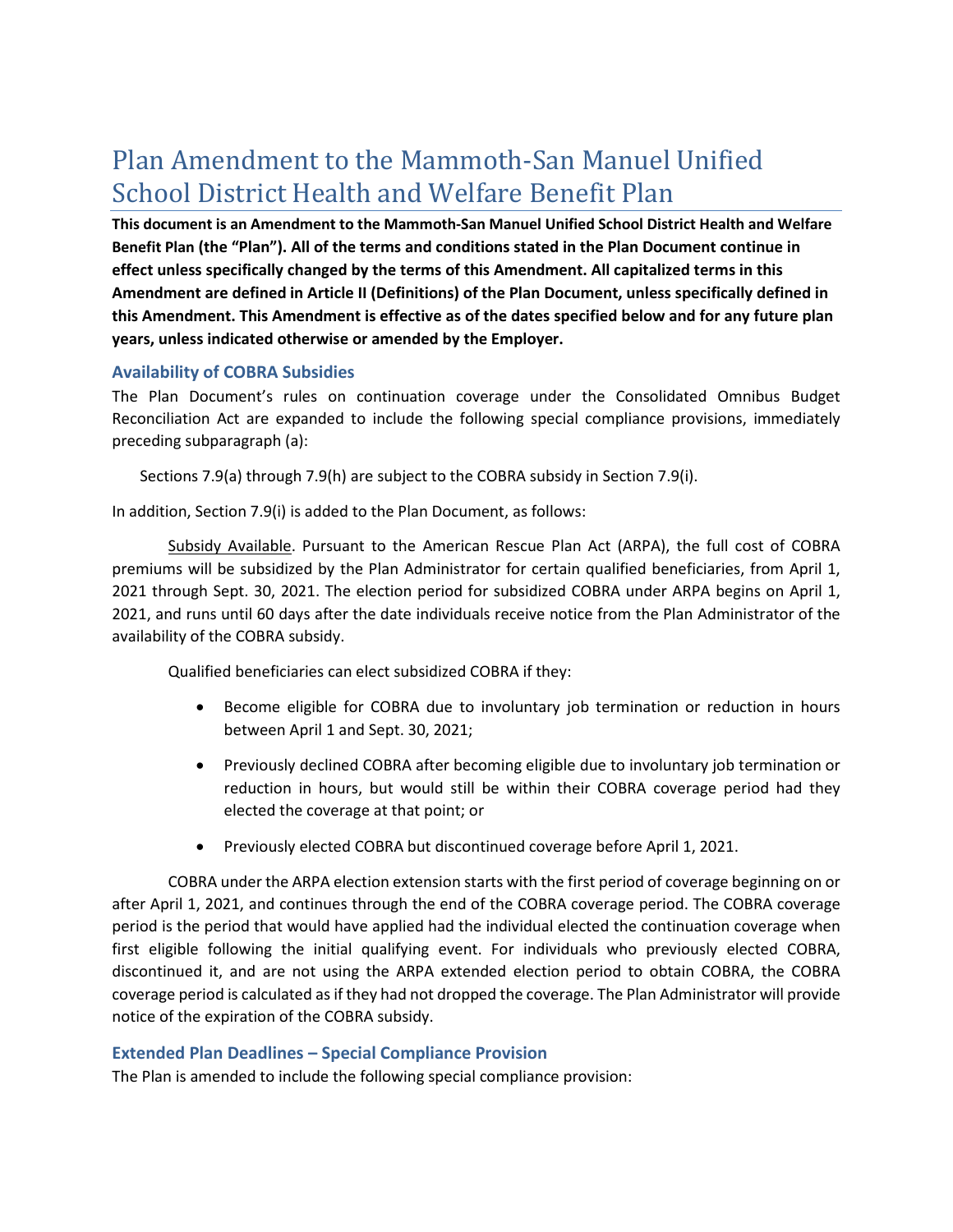# Plan Amendment to the Mammoth-San Manuel Unified School District Health and Welfare Benefit Plan

**This document is an Amendment to the Mammoth-San Manuel Unified School District Health and Welfare Benefit Plan (the "Plan"). All of the terms and conditions stated in the Plan Document continue in effect unless specifically changed by the terms of this Amendment. All capitalized terms in this Amendment are defined in Article II (Definitions) of the Plan Document, unless specifically defined in this Amendment. This Amendment is effective as of the dates specified below and for any future plan years, unless indicated otherwise or amended by the Employer.** 

#### **Availability of COBRA Subsidies**

The Plan Document's rules on continuation coverage under the Consolidated Omnibus Budget Reconciliation Act are expanded to include the following special compliance provisions, immediately preceding subparagraph (a):

Sections 7.9(a) through 7.9(h) are subject to the COBRA subsidy in Section 7.9(i).

In addition, Section 7.9(i) is added to the Plan Document, as follows:

Subsidy Available. Pursuant to the American Rescue Plan Act (ARPA), the full cost of COBRA premiums will be subsidized by the Plan Administrator for certain qualified beneficiaries, from April 1, 2021 through Sept. 30, 2021. The election period for subsidized COBRA under ARPA begins on April 1, 2021, and runs until 60 days after the date individuals receive notice from the Plan Administrator of the availability of the COBRA subsidy.

Qualified beneficiaries can elect subsidized COBRA if they:

- Become eligible for COBRA due to involuntary job termination or reduction in hours between April 1 and Sept. 30, 2021;
- Previously declined COBRA after becoming eligible due to involuntary job termination or reduction in hours, but would still be within their COBRA coverage period had they elected the coverage at that point; or
- Previously elected COBRA but discontinued coverage before April 1, 2021.

COBRA under the ARPA election extension starts with the first period of coverage beginning on or after April 1, 2021, and continues through the end of the COBRA coverage period. The COBRA coverage period is the period that would have applied had the individual elected the continuation coverage when first eligible following the initial qualifying event. For individuals who previously elected COBRA, discontinued it, and are not using the ARPA extended election period to obtain COBRA, the COBRA coverage period is calculated as if they had not dropped the coverage. The Plan Administrator will provide notice of the expiration of the COBRA subsidy.

#### **Extended Plan Deadlines – Special Compliance Provision**

The Plan is amended to include the following special compliance provision: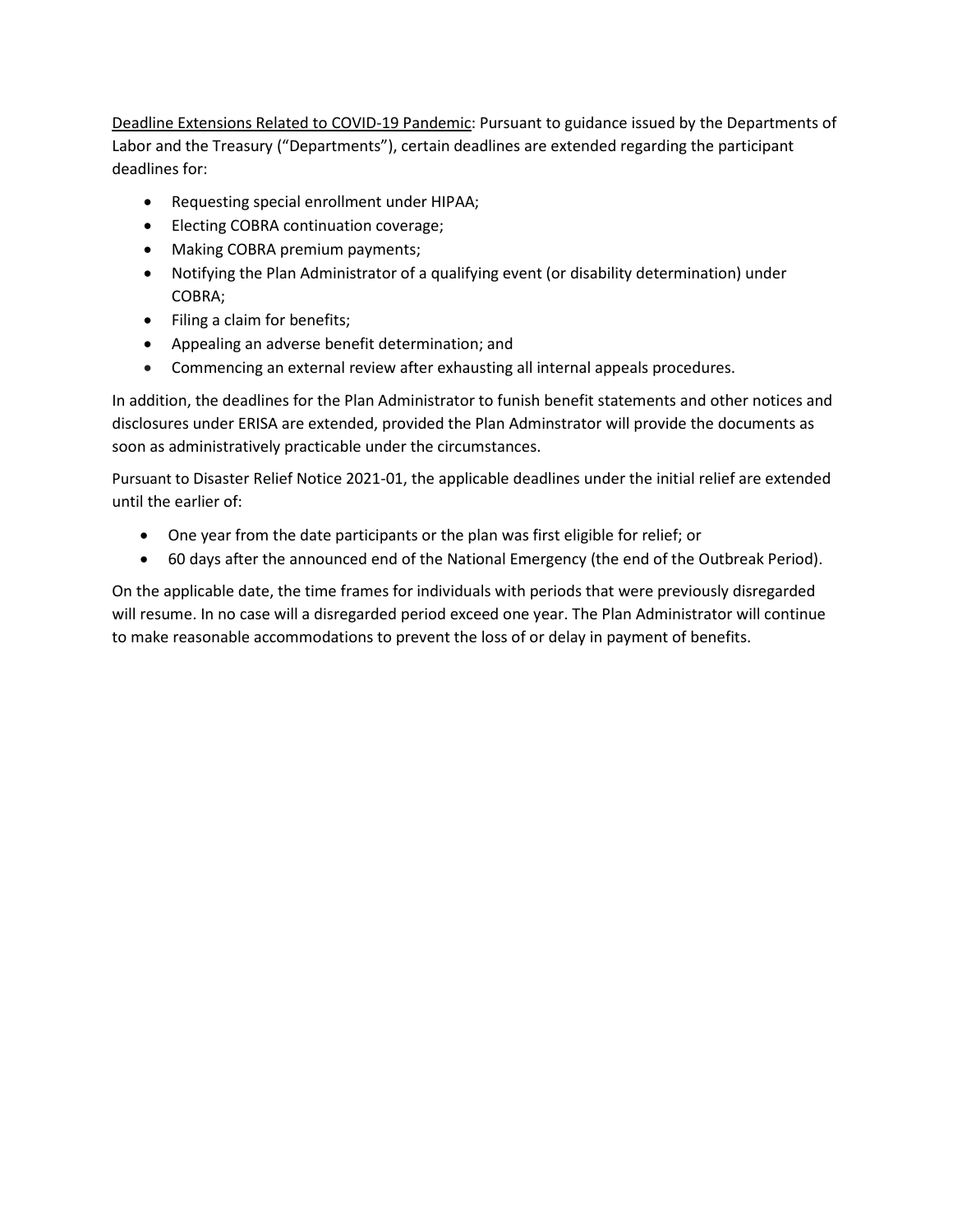Deadline Extensions Related to COVID-19 Pandemic: Pursuant to guidance issued by the Departments of Labor and the Treasury ("Departments"), certain deadlines are extended regarding the participant deadlines for:

- Requesting special enrollment under HIPAA;
- Electing COBRA continuation coverage;
- Making COBRA premium payments;
- Notifying the Plan Administrator of a qualifying event (or disability determination) under COBRA;
- Filing a claim for benefits;
- Appealing an adverse benefit determination; and
- Commencing an external review after exhausting all internal appeals procedures.

In addition, the deadlines for the Plan Administrator to funish benefit statements and other notices and disclosures under ERISA are extended, provided the Plan Adminstrator will provide the documents as soon as administratively practicable under the circumstances.

Pursuant to Disaster Relief Notice 2021-01, the applicable deadlines under the initial relief are extended until the earlier of:

- One year from the date participants or the plan was first eligible for relief; or
- 60 days after the announced end of the National Emergency (the end of the Outbreak Period).

On the applicable date, the time frames for individuals with periods that were previously disregarded will resume. In no case will a disregarded period exceed one year. The Plan Administrator will continue to make reasonable accommodations to prevent the loss of or delay in payment of benefits.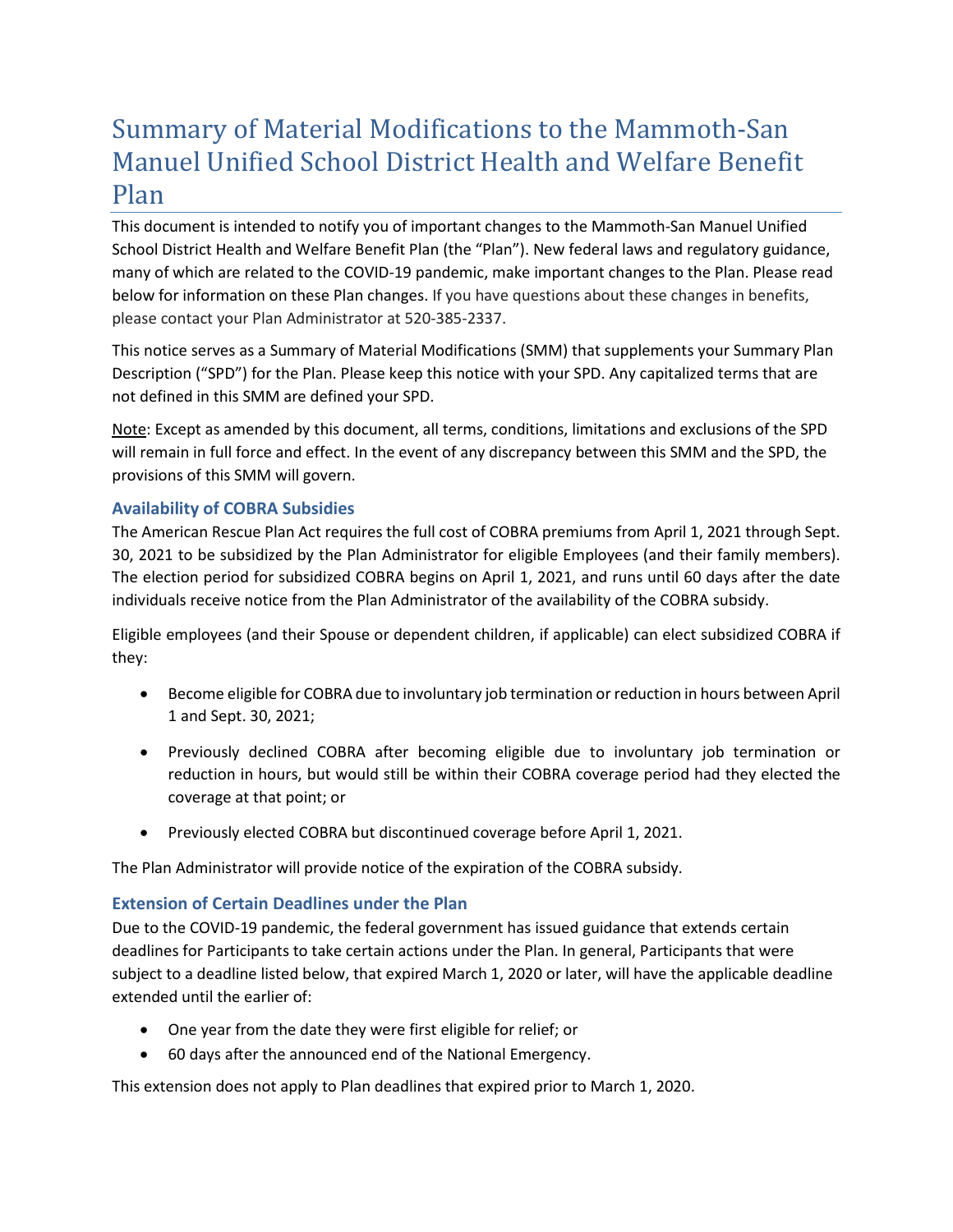# Summary of Material Modifications to the Mammoth-San Manuel Unified School District Health and Welfare Benefit Plan

This document is intended to notify you of important changes to the Mammoth-San Manuel Unified School District Health and Welfare Benefit Plan (the "Plan"). New federal laws and regulatory guidance, many of which are related to the COVID-19 pandemic, make important changes to the Plan. Please read below for information on these Plan changes. If you have questions about these changes in benefits, please contact your Plan Administrator at 520-385-2337.

This notice serves as a Summary of Material Modifications (SMM) that supplements your Summary Plan Description ("SPD") for the Plan. Please keep this notice with your SPD. Any capitalized terms that are not defined in this SMM are defined your SPD.

Note: Except as amended by this document, all terms, conditions, limitations and exclusions of the SPD will remain in full force and effect. In the event of any discrepancy between this SMM and the SPD, the provisions of this SMM will govern.

### **Availability of COBRA Subsidies**

The American Rescue Plan Act requires the full cost of COBRA premiums from April 1, 2021 through Sept. 30, 2021 to be subsidized by the Plan Administrator for eligible Employees (and their family members). The election period for subsidized COBRA begins on April 1, 2021, and runs until 60 days after the date individuals receive notice from the Plan Administrator of the availability of the COBRA subsidy.

Eligible employees (and their Spouse or dependent children, if applicable) can elect subsidized COBRA if they:

- Become eligible for COBRA due to involuntary job termination or reduction in hours between April 1 and Sept. 30, 2021;
- Previously declined COBRA after becoming eligible due to involuntary job termination or reduction in hours, but would still be within their COBRA coverage period had they elected the coverage at that point; or
- Previously elected COBRA but discontinued coverage before April 1, 2021.

The Plan Administrator will provide notice of the expiration of the COBRA subsidy.

### **Extension of Certain Deadlines under the Plan**

Due to the COVID-19 pandemic, the federal government has issued guidance that extends certain deadlines for Participants to take certain actions under the Plan. In general, Participants that were subject to a deadline listed below, that expired March 1, 2020 or later, will have the applicable deadline extended until the earlier of:

- One year from the date they were first eligible for relief; or
- 60 days after the announced end of the National Emergency.

This extension does not apply to Plan deadlines that expired prior to March 1, 2020.